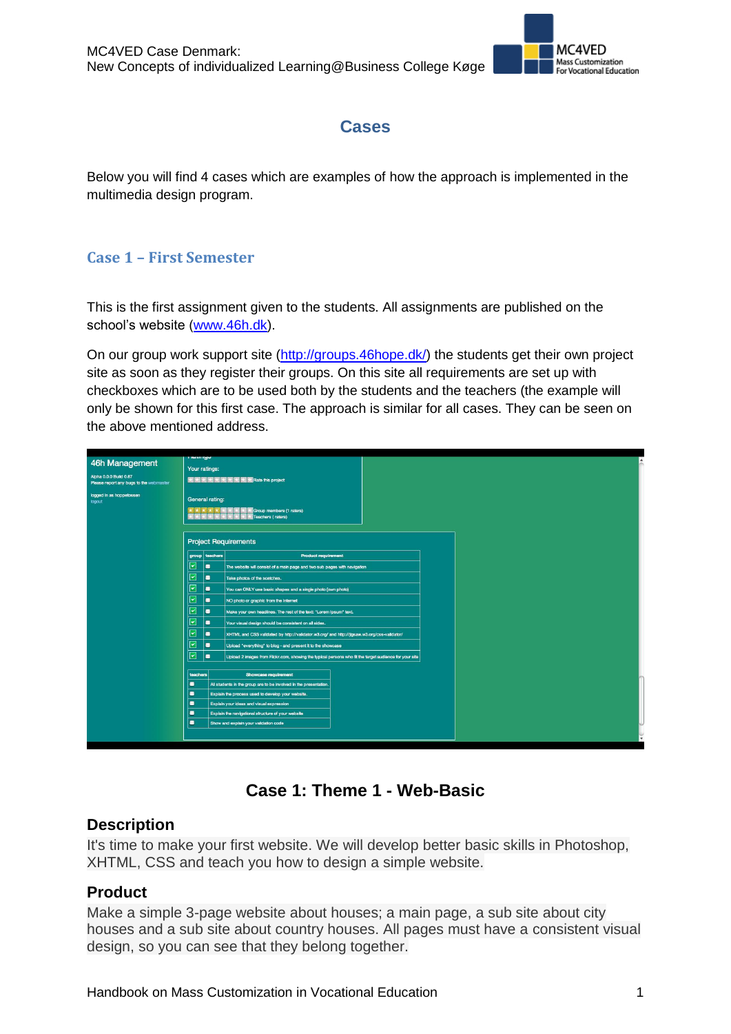

## **Cases**

Below you will find 4 cases which are examples of how the approach is implemented in the multimedia design program.

#### **Case 1 – First Semester**

This is the first assignment given to the students. All assignments are published on the school's website [\(www.46h.dk\)](http://www.46h.dk/).

On our group work support site [\(http://groups.46hope.dk/\)](http://groups.46hope.dk/) the students get their own project site as soon as they register their groups. On this site all requirements are set up with checkboxes which are to be used both by the students and the teachers (the example will only be shown for this first case. The approach is similar for all cases. They can be seen on the above mentioned address.

| 46h Management<br>Alpha 0.0.0 Build 0.87<br>Please report any bugs to the webmaster<br>logged in as hoppetossen<br>logout | i katiliya<br>Your ratings:<br>大大大大大大大大大大大的 his project<br>General rating: |                |                                                                                             |                                                                                                                                       |  |  |  |
|---------------------------------------------------------------------------------------------------------------------------|----------------------------------------------------------------------------|----------------|---------------------------------------------------------------------------------------------|---------------------------------------------------------------------------------------------------------------------------------------|--|--|--|
|                                                                                                                           | <b>Project Requirements</b>                                                |                |                                                                                             |                                                                                                                                       |  |  |  |
|                                                                                                                           | group teachers<br><b>Product requirement</b>                               |                |                                                                                             |                                                                                                                                       |  |  |  |
|                                                                                                                           |                                                                            | $\blacksquare$ | The website will consist of a main page and two sub pages with navigation                   |                                                                                                                                       |  |  |  |
|                                                                                                                           | $\overline{\phantom{1}}$                                                   | $\blacksquare$ | Take photos of the scetches.                                                                |                                                                                                                                       |  |  |  |
|                                                                                                                           | $\overline{\phantom{a}}$                                                   | $\blacksquare$ | You can ONLY use basic shapes and a single photo (own photo)                                |                                                                                                                                       |  |  |  |
|                                                                                                                           | ⊵                                                                          | $\blacksquare$ | NO photo or graphic from the Internet                                                       |                                                                                                                                       |  |  |  |
|                                                                                                                           | $\overline{\phantom{0}}$                                                   | ٠              | Make your own headlines. The rest of the text: "Lorem Ipsum" text.                          |                                                                                                                                       |  |  |  |
|                                                                                                                           | ☞                                                                          | $\blacksquare$ | Your visual design should be consistent on all sides.                                       |                                                                                                                                       |  |  |  |
|                                                                                                                           | $\overline{\phantom{1}}$<br>۰                                              |                | XHTML and CSS validated by http://validator.w3.org/ and http://jigsaw.w3.org/css-validator/ |                                                                                                                                       |  |  |  |
|                                                                                                                           | $\overline{\phantom{1}}$                                                   | $\blacksquare$ | Upload "everything" to blog - and present it to the showcase                                |                                                                                                                                       |  |  |  |
|                                                                                                                           | $\overline{\phantom{a}}$                                                   | $\blacksquare$ |                                                                                             |                                                                                                                                       |  |  |  |
|                                                                                                                           | teachers                                                                   |                |                                                                                             | Upload 2 images from Flickr.com, showing the typical persons who fit the target audience for your site<br><b>Showcase requirement</b> |  |  |  |
|                                                                                                                           | ٠                                                                          |                | All students in the group are to be involved in the presentation.                           |                                                                                                                                       |  |  |  |
|                                                                                                                           | ٠                                                                          |                | Explain the process used to develop your website.                                           |                                                                                                                                       |  |  |  |
|                                                                                                                           | $\blacksquare$                                                             |                | Explain your ideas and visual expression                                                    |                                                                                                                                       |  |  |  |
|                                                                                                                           | ٠                                                                          |                | Explain the navigational structure of your website                                          |                                                                                                                                       |  |  |  |
|                                                                                                                           | о                                                                          |                | Show and explain your validation code                                                       |                                                                                                                                       |  |  |  |
|                                                                                                                           |                                                                            |                |                                                                                             |                                                                                                                                       |  |  |  |
|                                                                                                                           |                                                                            |                |                                                                                             |                                                                                                                                       |  |  |  |

## **Case 1: Theme 1 - Web-Basic**

#### **Description**

It's time to make your first website. We will develop better basic skills in Photoshop, XHTML, CSS and teach you how to design a simple website.

#### **Product**

Make a simple 3-page website about houses; a main page, a sub site about city houses and a sub site about country houses. All pages must have a consistent visual design, so you can see that they belong together.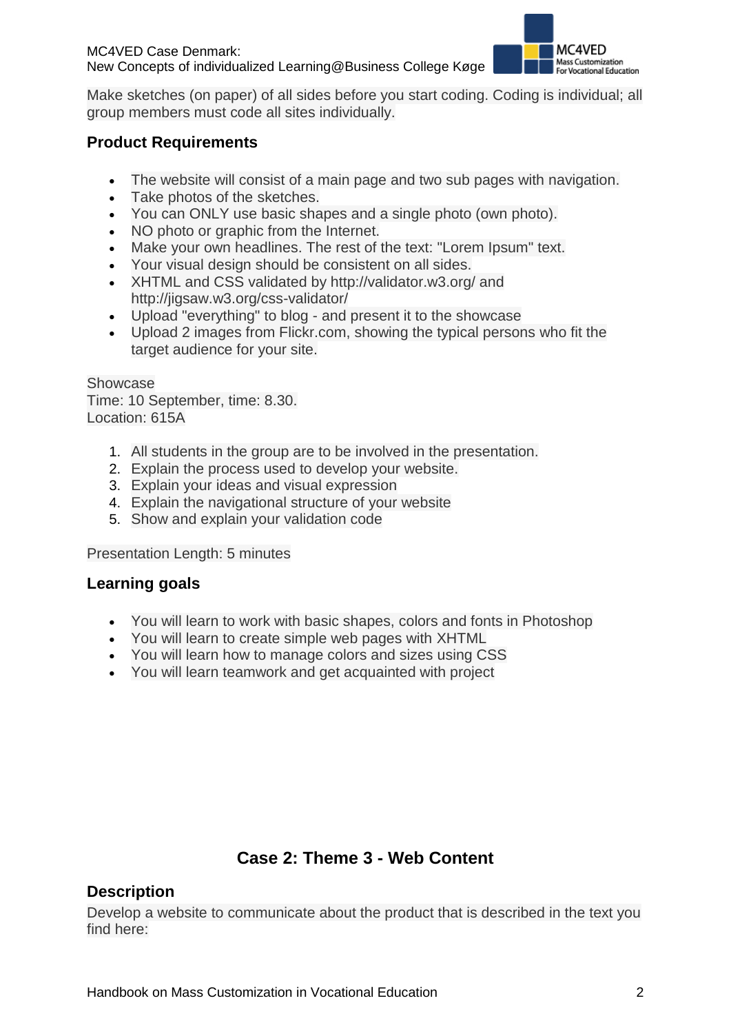

Make sketches (on paper) of all sides before you start coding. Coding is individual; all group members must code all sites individually.

## **Product Requirements**

- The website will consist of a main page and two sub pages with navigation.
- Take photos of the sketches.
- You can ONLY use basic shapes and a single photo (own photo).
- NO photo or graphic from the Internet.
- Make your own headlines. The rest of the text: "Lorem Ipsum" text.
- Your visual design should be consistent on all sides.
- XHTML and CSS validated by http://validator.w3.org/ and http://jigsaw.w3.org/css-validator/
- Upload "everything" to blog and present it to the showcase
- Upload 2 images from Flickr.com, showing the typical persons who fit the target audience for your site.

Showcase Time: 10 September, time: 8.30. Location: 615A

- 1. All students in the group are to be involved in the presentation.
- 2. Explain the process used to develop your website.
- 3. Explain your ideas and visual expression
- 4. Explain the navigational structure of your website
- 5. Show and explain your validation code

Presentation Length: 5 minutes

#### **Learning goals**

- You will learn to work with basic shapes, colors and fonts in Photoshop
- You will learn to create simple web pages with XHTML
- You will learn how to manage colors and sizes using CSS
- You will learn teamwork and get acquainted with project

# **Case 2: Theme 3 - Web Content**

## **Description**

Develop a website to communicate about the product that is described in the text you find here: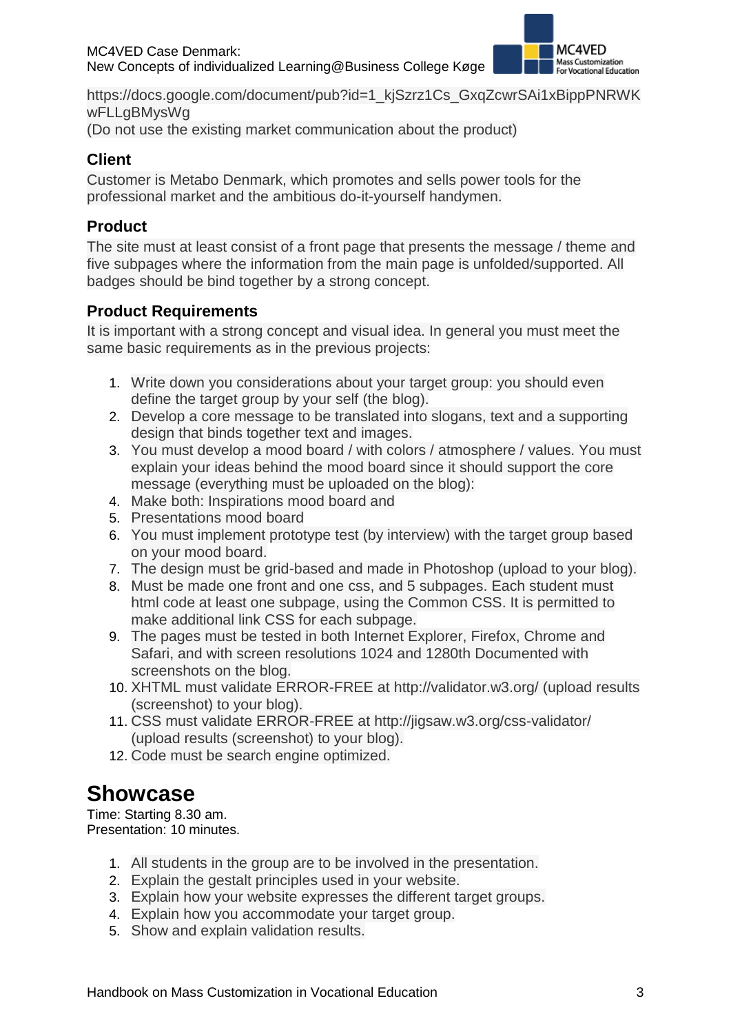

https://docs.google.com/document/pub?id=1\_kjSzrz1Cs\_GxqZcwrSAi1xBippPNRWK wFLLgBMysWg

(Do not use the existing market communication about the product)

### **Client**

Customer is Metabo Denmark, which promotes and sells power tools for the professional market and the ambitious do-it-yourself handymen.

## **Product**

The site must at least consist of a front page that presents the message / theme and five subpages where the information from the main page is unfolded/supported. All badges should be bind together by a strong concept.

## **Product Requirements**

It is important with a strong concept and visual idea. In general you must meet the same basic requirements as in the previous projects:

- 1. Write down you considerations about your target group: you should even define the target group by your self (the blog).
- 2. Develop a core message to be translated into slogans, text and a supporting design that binds together text and images.
- 3. You must develop a mood board / with colors / atmosphere / values. You must explain your ideas behind the mood board since it should support the core message (everything must be uploaded on the blog):
- 4. Make both: Inspirations mood board and
- 5. Presentations mood board
- 6. You must implement prototype test (by interview) with the target group based on your mood board.
- 7. The design must be grid-based and made in Photoshop (upload to your blog).
- 8. Must be made one front and one css, and 5 subpages. Each student must html code at least one subpage, using the Common CSS. It is permitted to make additional link CSS for each subpage.
- 9. The pages must be tested in both Internet Explorer, Firefox, Chrome and Safari, and with screen resolutions 1024 and 1280th Documented with screenshots on the blog.
- 10. XHTML must validate ERROR-FREE at http://validator.w3.org/ (upload results (screenshot) to your blog).
- 11. CSS must validate ERROR-FREE at http://jigsaw.w3.org/css-validator/ (upload results (screenshot) to your blog).
- 12. Code must be search engine optimized.

# **Showcase**

Time: Starting 8.30 am. Presentation: 10 minutes.

- 1. All students in the group are to be involved in the presentation.
- 2. Explain the gestalt principles used in your website.
- 3. Explain how your website expresses the different target groups.
- 4. Explain how you accommodate your target group.
- 5. Show and explain validation results.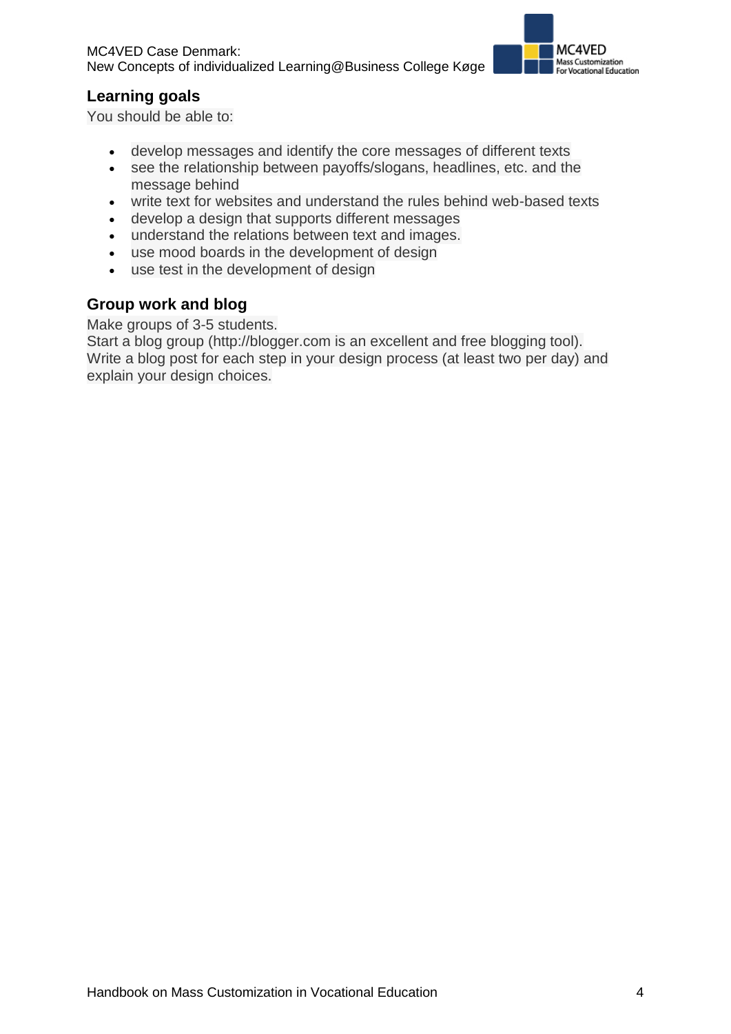

#### **Learning goals**

You should be able to:

- develop messages and identify the core messages of different texts
- see the relationship between payoffs/slogans, headlines, etc. and the message behind
- write text for websites and understand the rules behind web-based texts
- develop a design that supports different messages
- understand the relations between text and images.
- use mood boards in the development of design
- use test in the development of design

#### **Group work and blog**

Make groups of 3-5 students.

Start a blog group (http://blogger.com is an excellent and free blogging tool). Write a blog post for each step in your design process (at least two per day) and explain your design choices.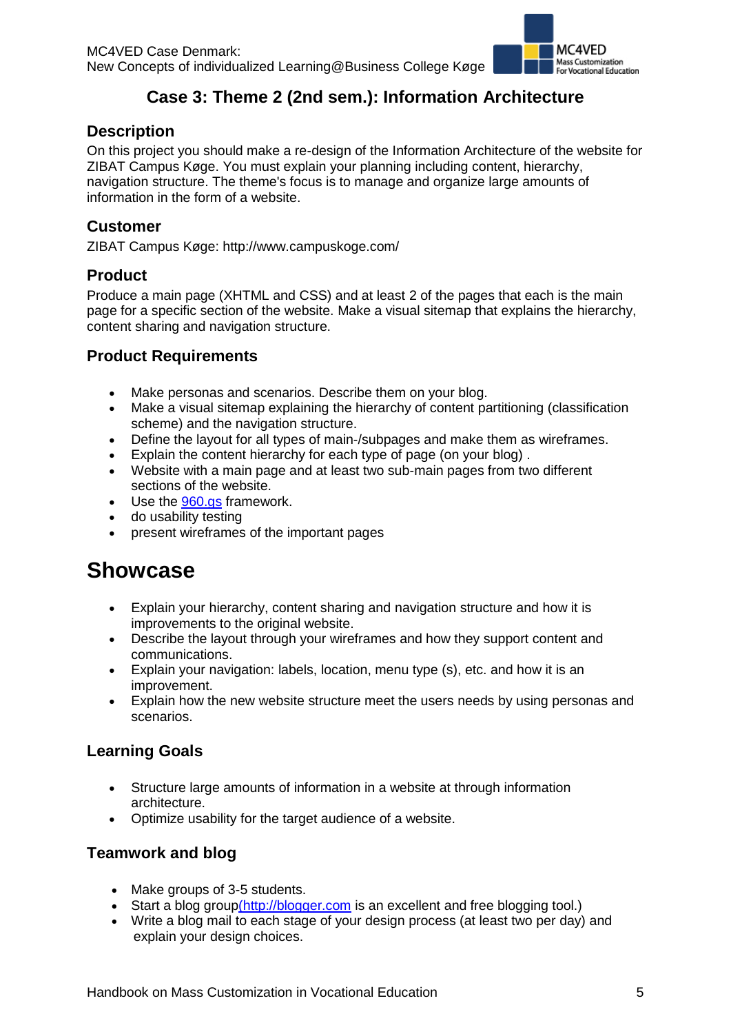

# **Case 3: Theme 2 (2nd sem.): Information Architecture**

#### **Description**

On this project you should make a re-design of the Information Architecture of the website for ZIBAT Campus Køge. You must explain your planning including content, hierarchy, navigation structure. The theme's focus is to manage and organize large amounts of information in the form of a website.

#### **Customer**

ZIBAT Campus Køge: http://www.campuskoge.com/

#### **Product**

Produce a main page (XHTML and CSS) and at least 2 of the pages that each is the main page for a specific section of the website. Make a visual sitemap that explains the hierarchy, content sharing and navigation structure.

#### **Product Requirements**

- Make personas and scenarios. Describe them on your blog.
- Make a visual sitemap explaining the hierarchy of content partitioning (classification scheme) and the navigation structure.
- Define the layout for all types of main-/subpages and make them as wireframes.
- Explain the content hierarchy for each type of page (on your blog) .
- Website with a main page and at least two sub-main pages from two different sections of the website.
- Use the [960.gs](http://960.gs/) framework.
- do usability testing
- present wireframes of the important pages

# **Showcase**

- Explain your hierarchy, content sharing and navigation structure and how it is improvements to the original website.
- Describe the layout through your wireframes and how they support content and communications.
- Explain your navigation: labels, location, menu type (s), etc. and how it is an improvement.
- Explain how the new website structure meet the users needs by using personas and scenarios.

#### **Learning Goals**

- Structure large amounts of information in a website at through information architecture.
- Optimize usability for the target audience of a website.

#### **Teamwork and blog**

- Make groups of 3-5 students.
- Start a blog grou[p\(http://blogger.com](http://blogger.com/) is an excellent and free blogging tool.)
- Write a blog mail to each stage of your design process (at least two per day) and explain your design choices.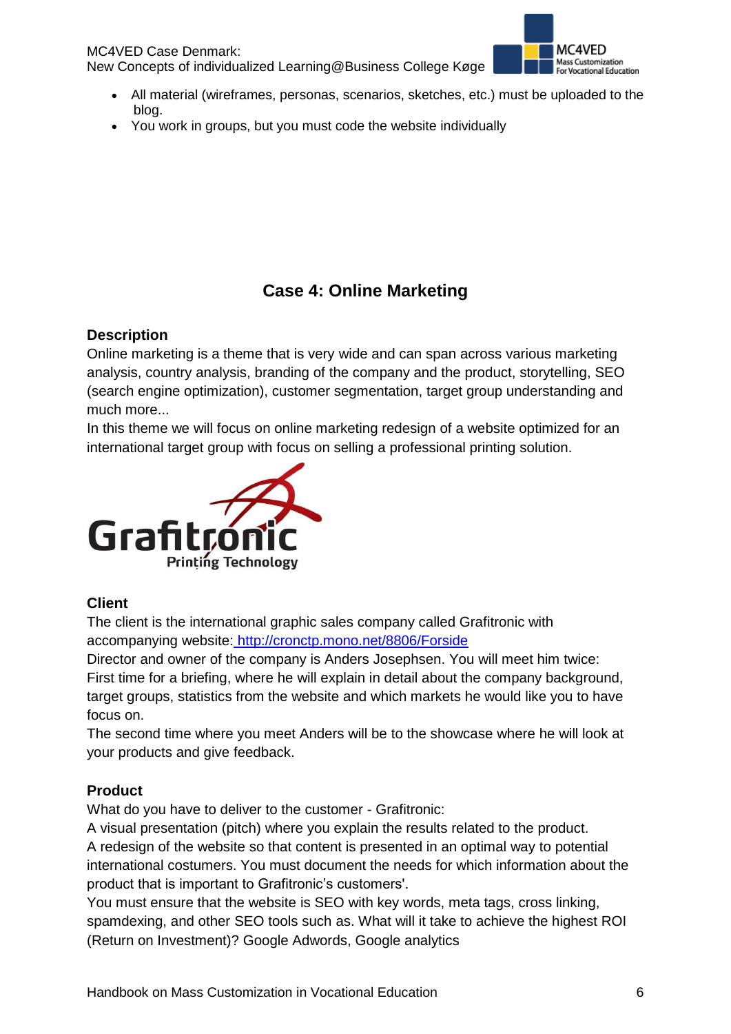MC4VED Case Denmark: New Concepts of individualized Learning@Business College Køge



- All material (wireframes, personas, scenarios, sketches, etc.) must be uploaded to the blog.
- You work in groups, but you must code the website individually

# **Case 4: Online Marketing**

#### **Description**

Online marketing is a theme that is very wide and can span across various marketing analysis, country analysis, branding of the company and the product, storytelling, SEO (search engine optimization), customer segmentation, target group understanding and much more...

In this theme we will focus on online marketing redesign of a website optimized for an international target group with focus on selling a professional printing solution.



#### **Client**

The client is the international graphic sales company called Grafitronic with accompanying website: <http://cronctp.mono.net/8806/Forside>

Director and owner of the company is Anders Josephsen. You will meet him twice: First time for a briefing, where he will explain in detail about the company background, target groups, statistics from the website and which markets he would like you to have focus on.

The second time where you meet Anders will be to the showcase where he will look at your products and give feedback.

#### **Product**

What do you have to deliver to the customer - Grafitronic:

A visual presentation (pitch) where you explain the results related to the product. A redesign of the website so that content is presented in an optimal way to potential international costumers. You must document the needs for which information about the product that is important to Grafitronic's customers'.

You must ensure that the website is SEO with key words, meta tags, cross linking, spamdexing, and other SEO tools such as. What will it take to achieve the highest ROI (Return on Investment)? Google Adwords, Google analytics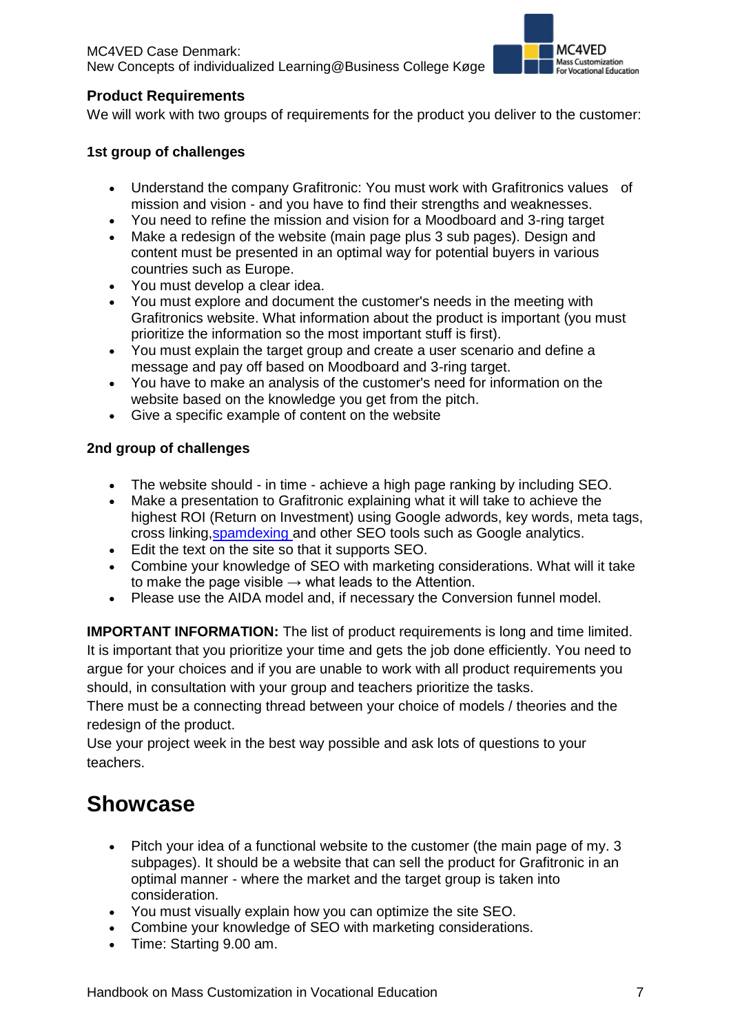

#### **Product Requirements**

We will work with two groups of requirements for the product you deliver to the customer:

#### **1st group of challenges**

- Understand the company Grafitronic: You must work with Grafitronics values of mission and vision - and you have to find their strengths and weaknesses.
- You need to refine the mission and vision for a Moodboard and 3-ring target
- Make a redesign of the website (main page plus 3 sub pages). Design and content must be presented in an optimal way for potential buyers in various countries such as Europe.
- You must develop a clear idea.
- You must explore and document the customer's needs in the meeting with Grafitronics website. What information about the product is important (you must prioritize the information so the most important stuff is first).
- You must explain the target group and create a user scenario and define a message and pay off based on Moodboard and 3-ring target.
- You have to make an analysis of the customer's need for information on the website based on the knowledge you get from the pitch.
- Give a specific example of content on the website

#### **2nd group of challenges**

- The website should in time achieve a high page ranking by including SEO.
- Make a presentation to Grafitronic explaining what it will take to achieve the highest ROI (Return on Investment) using Google adwords, key words, meta tags, cross linking[,spamdexing](http://www.searchenginepromotionhelp.com/m/articles/promotion-encyclopedia/spamdexing.php) and other SEO tools such as Google analytics.
- Edit the text on the site so that it supports SEO.
- Combine your knowledge of SEO with marketing considerations. What will it take to make the page visible  $\rightarrow$  what leads to the Attention.
- Please use the AIDA model and, if necessary the Conversion funnel model.

**IMPORTANT INFORMATION:** The list of product requirements is long and time limited. It is important that you prioritize your time and gets the job done efficiently. You need to argue for your choices and if you are unable to work with all product requirements you should, in consultation with your group and teachers prioritize the tasks.

There must be a connecting thread between your choice of models / theories and the redesign of the product.

Use your project week in the best way possible and ask lots of questions to your teachers.

# **Showcase**

- Pitch your idea of a functional website to the customer (the main page of my. 3 subpages). It should be a website that can sell the product for Grafitronic in an optimal manner - where the market and the target group is taken into consideration.
- You must visually explain how you can optimize the site SEO.
- Combine your knowledge of SEO with marketing considerations.
- Time: Starting 9.00 am.